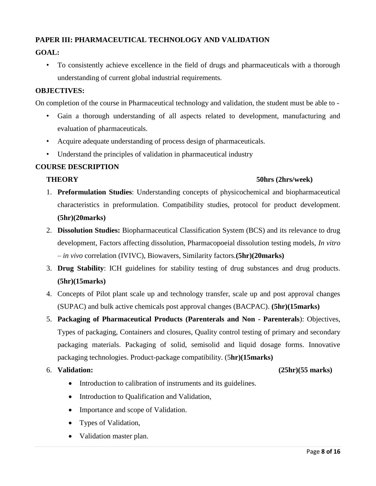## **PAPER III: PHARMACEUTICAL TECHNOLOGY AND VALIDATION**

# **GOAL:**

• To consistently achieve excellence in the field of drugs and pharmaceuticals with a thorough understanding of current global industrial requirements.

## **OBJECTIVES:**

On completion of the course in Pharmaceutical technology and validation, the student must be able to -

- Gain a thorough understanding of all aspects related to development, manufacturing and evaluation of pharmaceuticals.
- Acquire adequate understanding of process design of pharmaceuticals.
- Understand the principles of validation in pharmaceutical industry

## **COURSE DESCRIPTION**

## **THEORY 50hrs (2hrs/week)**

- 1. **Preformulation Studies**: Understanding concepts of physicochemical and biopharmaceutical characteristics in preformulation. Compatibility studies, protocol for product development. **(5hr)(20marks)**
- 2. **Dissolution Studies:** Biopharmaceutical Classification System (BCS) and its relevance to drug development, Factors affecting dissolution, Pharmacopoeial dissolution testing models, *In vitro – in vivo* correlation (IVIVC), Biowavers, Similarity factors.**(5hr)(20marks)**
- 3. **Drug Stability**: ICH guidelines for stability testing of drug substances and drug products. **(5hr)(15marks)**
- 4. Concepts of Pilot plant scale up and technology transfer, scale up and post approval changes (SUPAC) and bulk active chemicals post approval changes (BACPAC). **(5hr)(15marks)**
- 5. **Packaging of Pharmaceutical Products (Parenterals and Non - Parenterals**): Objectives, Types of packaging, Containers and closures, Quality control testing of primary and secondary packaging materials. Packaging of solid, semisolid and liquid dosage forms. Innovative packaging technologies. Product-package compatibility. (5**hr)(15marks)**

### 6. **Validation: (25hr)(55 marks)**

- Introduction to calibration of instruments and its guidelines.
- Introduction to Qualification and Validation,
- Importance and scope of Validation.
- Types of Validation,
- Validation master plan.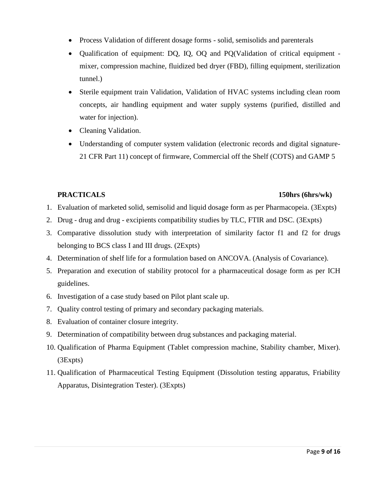- Process Validation of different dosage forms solid, semisolids and parenterals
- Qualification of equipment: DQ, IQ, OQ and PQ(Validation of critical equipment mixer, compression machine, fluidized bed dryer (FBD), filling equipment, sterilization tunnel.)
- Sterile equipment train Validation, Validation of HVAC systems including clean room concepts, air handling equipment and water supply systems (purified, distilled and water for injection).
- Cleaning Validation.
- Understanding of computer system validation (electronic records and digital signature-21 CFR Part 11) concept of firmware, Commercial off the Shelf (COTS) and GAMP 5

#### **PRACTICALS 150hrs (6hrs/wk)**

- 1. Evaluation of marketed solid, semisolid and liquid dosage form as per Pharmacopeia. (3Expts)
- 2. Drug drug and drug excipients compatibility studies by TLC, FTIR and DSC. (3Expts)
- 3. Comparative dissolution study with interpretation of similarity factor f1 and f2 for drugs belonging to BCS class I and III drugs. (2Expts)
- 4. Determination of shelf life for a formulation based on ANCOVA. (Analysis of Covariance).
- 5. Preparation and execution of stability protocol for a pharmaceutical dosage form as per ICH guidelines.
- 6. Investigation of a case study based on Pilot plant scale up.
- 7. Quality control testing of primary and secondary packaging materials.
- 8. Evaluation of container closure integrity.
- 9. Determination of compatibility between drug substances and packaging material.
- 10. Qualification of Pharma Equipment (Tablet compression machine, Stability chamber, Mixer). (3Expts)
- 11. Qualification of Pharmaceutical Testing Equipment (Dissolution testing apparatus, Friability Apparatus, Disintegration Tester). (3Expts)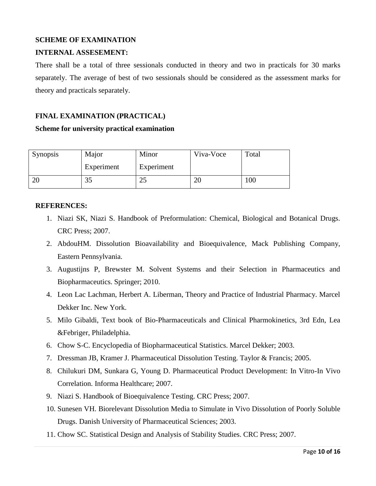### **SCHEME OF EXAMINATION**

## **INTERNAL ASSESEMENT:**

There shall be a total of three sessionals conducted in theory and two in practicals for 30 marks separately. The average of best of two sessionals should be considered as the assessment marks for theory and practicals separately.

## **FINAL EXAMINATION (PRACTICAL)**

#### **Scheme for university practical examination**

| <b>Synopsis</b> | Major      | Minor      | Viva-Voce | Total |
|-----------------|------------|------------|-----------|-------|
|                 | Experiment | Experiment |           |       |
| ZU              | 99         | رے         | 20        | 00    |

### **REFERENCES:**

- 1. Niazi SK, Niazi S. Handbook of Preformulation: Chemical, Biological and Botanical Drugs. CRC Press; 2007.
- 2. AbdouHM. Dissolution Bioavailability and Bioequivalence, Mack Publishing Company, Eastern Pennsylvania.
- 3. Augustijns P, Brewster M. Solvent Systems and their Selection in Pharmaceutics and Biopharmaceutics. Springer; 2010.
- 4. Leon Lac Lachman, Herbert A. Liberman, Theory and Practice of Industrial Pharmacy. Marcel Dekker Inc. New York.
- 5. Milo Gibaldi, Text book of Bio-Pharmaceuticals and Clinical Pharmokinetics, 3rd Edn, Lea &Febriger, Philadelphia.
- 6. Chow S-C. Encyclopedia of Biopharmaceutical Statistics. Marcel Dekker; 2003.
- 7. Dressman JB, Kramer J. Pharmaceutical Dissolution Testing. Taylor & Francis; 2005.
- 8. Chilukuri DM, Sunkara G, Young D. Pharmaceutical Product Development: In Vitro-In Vivo Correlation. Informa Healthcare; 2007.
- 9. Niazi S. Handbook of Bioequivalence Testing. CRC Press; 2007.
- 10. Sunesen VH. Biorelevant Dissolution Media to Simulate in Vivo Dissolution of Poorly Soluble Drugs. Danish University of Pharmaceutical Sciences; 2003.
- 11. Chow SC. Statistical Design and Analysis of Stability Studies. CRC Press; 2007.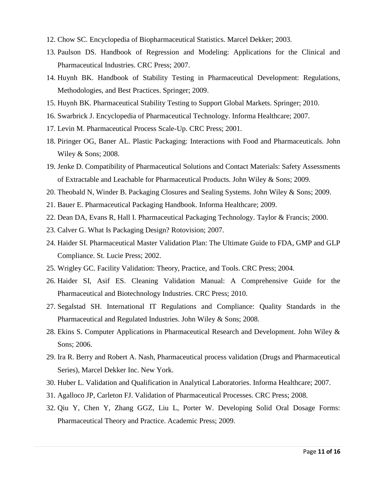- 12. Chow SC. Encyclopedia of Biopharmaceutical Statistics. Marcel Dekker; 2003.
- 13. Paulson DS. Handbook of Regression and Modeling: Applications for the Clinical and Pharmaceutical Industries. CRC Press; 2007.
- 14. Huynh BK. Handbook of Stability Testing in Pharmaceutical Development: Regulations, Methodologies, and Best Practices. Springer; 2009.
- 15. Huynh BK. Pharmaceutical Stability Testing to Support Global Markets. Springer; 2010.
- 16. Swarbrick J. Encyclopedia of Pharmaceutical Technology. Informa Healthcare; 2007.
- 17. Levin M. Pharmaceutical Process Scale-Up. CRC Press; 2001.
- 18. Piringer OG, Baner AL. Plastic Packaging: Interactions with Food and Pharmaceuticals. John Wiley & Sons; 2008.
- 19. Jenke D. Compatibility of Pharmaceutical Solutions and Contact Materials: Safety Assessments of Extractable and Leachable for Pharmaceutical Products. John Wiley & Sons; 2009.
- 20. Theobald N, Winder B. Packaging Closures and Sealing Systems. John Wiley & Sons; 2009.
- 21. Bauer E. Pharmaceutical Packaging Handbook. Informa Healthcare; 2009.
- 22. Dean DA, Evans R, Hall I. Pharmaceutical Packaging Technology. Taylor & Francis; 2000.
- 23. Calver G. What Is Packaging Design? Rotovision; 2007.
- 24. Haider SI. Pharmaceutical Master Validation Plan: The Ultimate Guide to FDA, GMP and GLP Compliance. St. Lucie Press; 2002.
- 25. Wrigley GC. Facility Validation: Theory, Practice, and Tools. CRC Press; 2004.
- 26. Haider SI, Asif ES. Cleaning Validation Manual: A Comprehensive Guide for the Pharmaceutical and Biotechnology Industries. CRC Press; 2010.
- 27. Segalstad SH. International IT Regulations and Compliance: Quality Standards in the Pharmaceutical and Regulated Industries. John Wiley & Sons; 2008.
- 28. Ekins S. Computer Applications in Pharmaceutical Research and Development. John Wiley & Sons; 2006.
- 29. Ira R. Berry and Robert A. Nash, Pharmaceutical process validation (Drugs and Pharmaceutical Series), Marcel Dekker Inc. New York.
- 30. Huber L. Validation and Qualification in Analytical Laboratories. Informa Healthcare; 2007.
- 31. Agalloco JP, Carleton FJ. Validation of Pharmaceutical Processes. CRC Press; 2008.
- 32. Qiu Y, Chen Y, Zhang GGZ, Liu L, Porter W. Developing Solid Oral Dosage Forms: Pharmaceutical Theory and Practice. Academic Press; 2009.